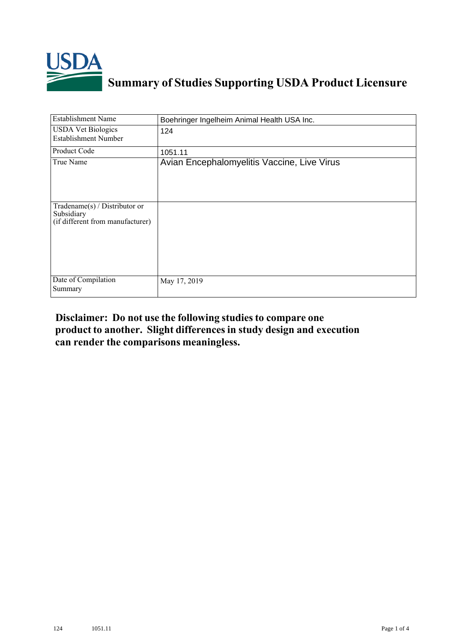

## **Summary of Studies Supporting USDA Product Licensure**

| <b>Establishment Name</b>                                                       | Boehringer Ingelheim Animal Health USA Inc. |
|---------------------------------------------------------------------------------|---------------------------------------------|
| <b>USDA Vet Biologics</b><br><b>Establishment Number</b>                        | 124                                         |
| Product Code                                                                    | 1051.11                                     |
| True Name                                                                       | Avian Encephalomyelitis Vaccine, Live Virus |
| Tradename(s) / Distributor or<br>Subsidiary<br>(if different from manufacturer) |                                             |
| Date of Compilation<br>Summary                                                  | May 17, 2019                                |

## **Disclaimer: Do not use the following studiesto compare one product to another. Slight differencesin study design and execution can render the comparisons meaningless.**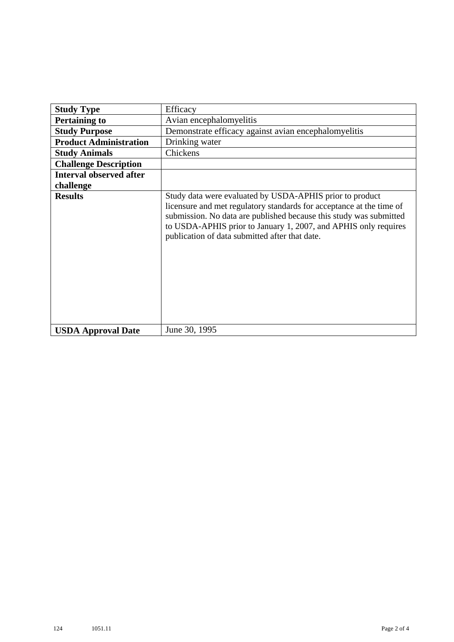| <b>Study Type</b>              | Efficacy                                                                                                                                                                                                                                                                                                                    |
|--------------------------------|-----------------------------------------------------------------------------------------------------------------------------------------------------------------------------------------------------------------------------------------------------------------------------------------------------------------------------|
| <b>Pertaining to</b>           | Avian encephalomyelitis                                                                                                                                                                                                                                                                                                     |
| <b>Study Purpose</b>           | Demonstrate efficacy against avian encephalomyelitis                                                                                                                                                                                                                                                                        |
| <b>Product Administration</b>  | Drinking water                                                                                                                                                                                                                                                                                                              |
| <b>Study Animals</b>           | Chickens                                                                                                                                                                                                                                                                                                                    |
| <b>Challenge Description</b>   |                                                                                                                                                                                                                                                                                                                             |
| <b>Interval observed after</b> |                                                                                                                                                                                                                                                                                                                             |
| challenge                      |                                                                                                                                                                                                                                                                                                                             |
| <b>Results</b>                 | Study data were evaluated by USDA-APHIS prior to product<br>licensure and met regulatory standards for acceptance at the time of<br>submission. No data are published because this study was submitted<br>to USDA-APHIS prior to January 1, 2007, and APHIS only requires<br>publication of data submitted after that date. |
| <b>USDA Approval Date</b>      | June 30, 1995                                                                                                                                                                                                                                                                                                               |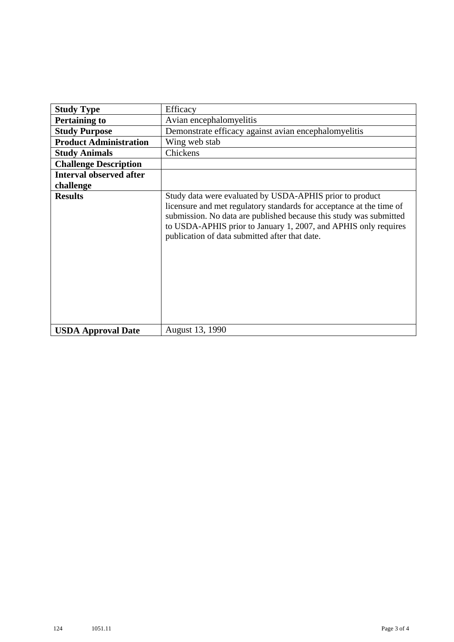| <b>Study Type</b>              | Efficacy                                                                                                                                                                                                                                                                                                                    |
|--------------------------------|-----------------------------------------------------------------------------------------------------------------------------------------------------------------------------------------------------------------------------------------------------------------------------------------------------------------------------|
| <b>Pertaining to</b>           | Avian encephalomyelitis                                                                                                                                                                                                                                                                                                     |
| <b>Study Purpose</b>           | Demonstrate efficacy against avian encephalomyelitis                                                                                                                                                                                                                                                                        |
| <b>Product Administration</b>  | Wing web stab                                                                                                                                                                                                                                                                                                               |
| <b>Study Animals</b>           | Chickens                                                                                                                                                                                                                                                                                                                    |
| <b>Challenge Description</b>   |                                                                                                                                                                                                                                                                                                                             |
| <b>Interval observed after</b> |                                                                                                                                                                                                                                                                                                                             |
| challenge                      |                                                                                                                                                                                                                                                                                                                             |
| <b>Results</b>                 | Study data were evaluated by USDA-APHIS prior to product<br>licensure and met regulatory standards for acceptance at the time of<br>submission. No data are published because this study was submitted<br>to USDA-APHIS prior to January 1, 2007, and APHIS only requires<br>publication of data submitted after that date. |
| <b>USDA Approval Date</b>      | August 13, 1990                                                                                                                                                                                                                                                                                                             |